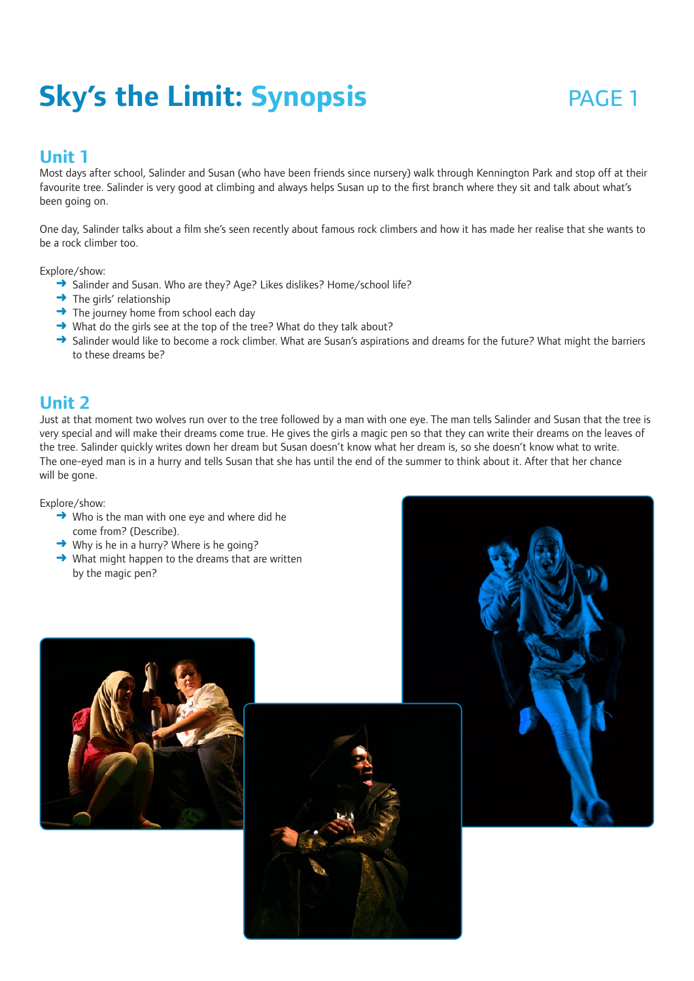# **Sky's the Limit: Synopsis PAGE 1**

## **Unit 1**

Most days after school, Salinder and Susan (who have been friends since nursery) walk through Kennington Park and stop off at their favourite tree. Salinder is very good at climbing and always helps Susan up to the first branch where they sit and talk about what's been going on.

One day, Salinder talks about a film she's seen recently about famous rock climbers and how it has made her realise that she wants to be a rock climber too.

Explore/show:

- → Salinder and Susan. Who are they? Age? Likes dislikes? Home/school life?
- $\rightarrow$  The girls' relationship
- $\rightarrow$  The journey home from school each day
- ➜ What do the girls see at the top of the tree? What do they talk about?
- → Salinder would like to become a rock climber. What are Susan's aspirations and dreams for the future? What might the barriers to these dreams be?

## **Unit 2**

Just at that moment two wolves run over to the tree followed by a man with one eye. The man tells Salinder and Susan that the tree is very special and will make their dreams come true. He gives the girls a magic pen so that they can write their dreams on the leaves of the tree. Salinder quickly writes down her dream but Susan doesn't know what her dream is, so she doesn't know what to write. The one-eyed man is in a hurry and tells Susan that she has until the end of the summer to think about it. After that her chance will be gone.

Explore/show:

- $\rightarrow$  Who is the man with one eye and where did he come from? (Describe).
- $\rightarrow$  Why is he in a hurry? Where is he going?
- $\rightarrow$  What might happen to the dreams that are written by the magic pen?